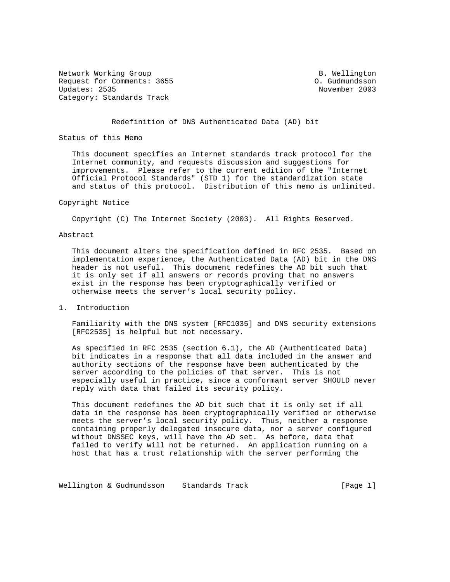Network Working Group and B. Wellington Request for Comments: 3655 O. Gudmundsson Updates: 2535 Category: Standards Track

### Redefinition of DNS Authenticated Data (AD) bit

Status of this Memo

 This document specifies an Internet standards track protocol for the Internet community, and requests discussion and suggestions for improvements. Please refer to the current edition of the "Internet Official Protocol Standards" (STD 1) for the standardization state and status of this protocol. Distribution of this memo is unlimited.

### Copyright Notice

Copyright (C) The Internet Society (2003). All Rights Reserved.

### Abstract

 This document alters the specification defined in RFC 2535. Based on implementation experience, the Authenticated Data (AD) bit in the DNS header is not useful. This document redefines the AD bit such that it is only set if all answers or records proving that no answers exist in the response has been cryptographically verified or otherwise meets the server's local security policy.

1. Introduction

 Familiarity with the DNS system [RFC1035] and DNS security extensions [RFC2535] is helpful but not necessary.

 As specified in RFC 2535 (section 6.1), the AD (Authenticated Data) bit indicates in a response that all data included in the answer and authority sections of the response have been authenticated by the server according to the policies of that server. This is not especially useful in practice, since a conformant server SHOULD never reply with data that failed its security policy.

 This document redefines the AD bit such that it is only set if all data in the response has been cryptographically verified or otherwise meets the server's local security policy. Thus, neither a response containing properly delegated insecure data, nor a server configured without DNSSEC keys, will have the AD set. As before, data that failed to verify will not be returned. An application running on a host that has a trust relationship with the server performing the

Wellington & Gudmundsson Standards Track Track [Page 1]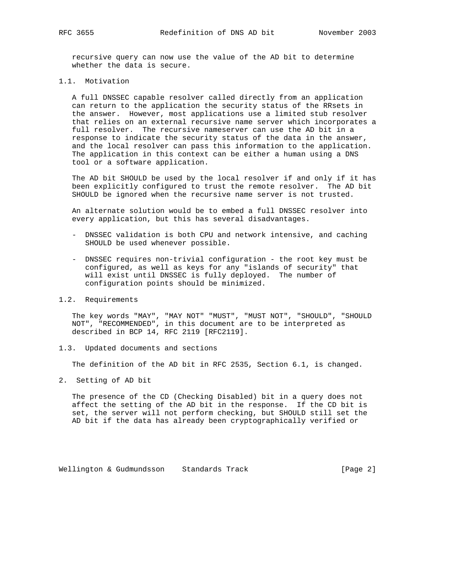recursive query can now use the value of the AD bit to determine whether the data is secure.

1.1. Motivation

 A full DNSSEC capable resolver called directly from an application can return to the application the security status of the RRsets in the answer. However, most applications use a limited stub resolver that relies on an external recursive name server which incorporates a full resolver. The recursive nameserver can use the AD bit in a response to indicate the security status of the data in the answer, and the local resolver can pass this information to the application. The application in this context can be either a human using a DNS tool or a software application.

 The AD bit SHOULD be used by the local resolver if and only if it has been explicitly configured to trust the remote resolver. The AD bit SHOULD be ignored when the recursive name server is not trusted.

 An alternate solution would be to embed a full DNSSEC resolver into every application, but this has several disadvantages.

- DNSSEC validation is both CPU and network intensive, and caching SHOULD be used whenever possible.
- DNSSEC requires non-trivial configuration the root key must be configured, as well as keys for any "islands of security" that will exist until DNSSEC is fully deployed. The number of configuration points should be minimized.

# 1.2. Requirements

 The key words "MAY", "MAY NOT" "MUST", "MUST NOT", "SHOULD", "SHOULD NOT", "RECOMMENDED", in this document are to be interpreted as described in BCP 14, RFC 2119 [RFC2119].

1.3. Updated documents and sections

The definition of the AD bit in RFC 2535, Section 6.1, is changed.

2. Setting of AD bit

 The presence of the CD (Checking Disabled) bit in a query does not affect the setting of the AD bit in the response. If the CD bit is set, the server will not perform checking, but SHOULD still set the AD bit if the data has already been cryptographically verified or

Wellington & Gudmundsson Standards Track [Page 2]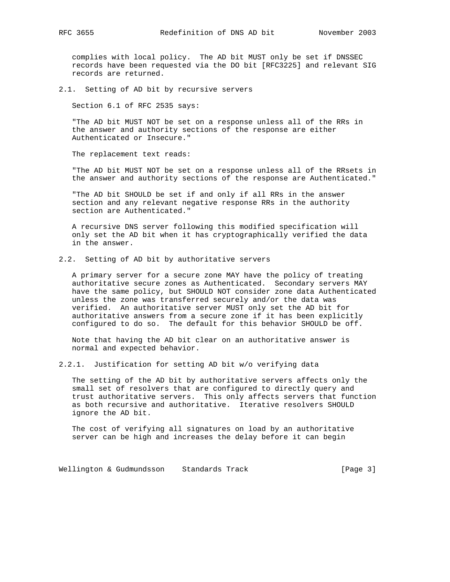complies with local policy. The AD bit MUST only be set if DNSSEC records have been requested via the DO bit [RFC3225] and relevant SIG records are returned.

2.1. Setting of AD bit by recursive servers

Section 6.1 of RFC 2535 says:

 "The AD bit MUST NOT be set on a response unless all of the RRs in the answer and authority sections of the response are either Authenticated or Insecure."

The replacement text reads:

 "The AD bit MUST NOT be set on a response unless all of the RRsets in the answer and authority sections of the response are Authenticated."

 "The AD bit SHOULD be set if and only if all RRs in the answer section and any relevant negative response RRs in the authority section are Authenticated."

 A recursive DNS server following this modified specification will only set the AD bit when it has cryptographically verified the data in the answer.

2.2. Setting of AD bit by authoritative servers

 A primary server for a secure zone MAY have the policy of treating authoritative secure zones as Authenticated. Secondary servers MAY have the same policy, but SHOULD NOT consider zone data Authenticated unless the zone was transferred securely and/or the data was verified. An authoritative server MUST only set the AD bit for authoritative answers from a secure zone if it has been explicitly configured to do so. The default for this behavior SHOULD be off.

 Note that having the AD bit clear on an authoritative answer is normal and expected behavior.

2.2.1. Justification for setting AD bit w/o verifying data

 The setting of the AD bit by authoritative servers affects only the small set of resolvers that are configured to directly query and trust authoritative servers. This only affects servers that function as both recursive and authoritative. Iterative resolvers SHOULD ignore the AD bit.

 The cost of verifying all signatures on load by an authoritative server can be high and increases the delay before it can begin

Wellington & Gudmundsson Standards Track Track [Page 3]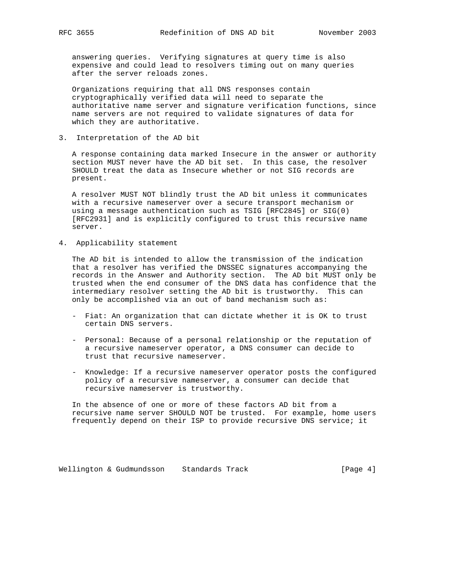answering queries. Verifying signatures at query time is also expensive and could lead to resolvers timing out on many queries after the server reloads zones.

 Organizations requiring that all DNS responses contain cryptographically verified data will need to separate the authoritative name server and signature verification functions, since name servers are not required to validate signatures of data for which they are authoritative.

3. Interpretation of the AD bit

 A response containing data marked Insecure in the answer or authority section MUST never have the AD bit set. In this case, the resolver SHOULD treat the data as Insecure whether or not SIG records are present.

 A resolver MUST NOT blindly trust the AD bit unless it communicates with a recursive nameserver over a secure transport mechanism or using a message authentication such as TSIG [RFC2845] or SIG(0) [RFC2931] and is explicitly configured to trust this recursive name server.

4. Applicability statement

 The AD bit is intended to allow the transmission of the indication that a resolver has verified the DNSSEC signatures accompanying the records in the Answer and Authority section. The AD bit MUST only be trusted when the end consumer of the DNS data has confidence that the intermediary resolver setting the AD bit is trustworthy. This can only be accomplished via an out of band mechanism such as:

- Fiat: An organization that can dictate whether it is OK to trust certain DNS servers.
- Personal: Because of a personal relationship or the reputation of a recursive nameserver operator, a DNS consumer can decide to trust that recursive nameserver.
- Knowledge: If a recursive nameserver operator posts the configured policy of a recursive nameserver, a consumer can decide that recursive nameserver is trustworthy.

 In the absence of one or more of these factors AD bit from a recursive name server SHOULD NOT be trusted. For example, home users frequently depend on their ISP to provide recursive DNS service; it

Wellington & Gudmundsson Standards Track Track [Page 4]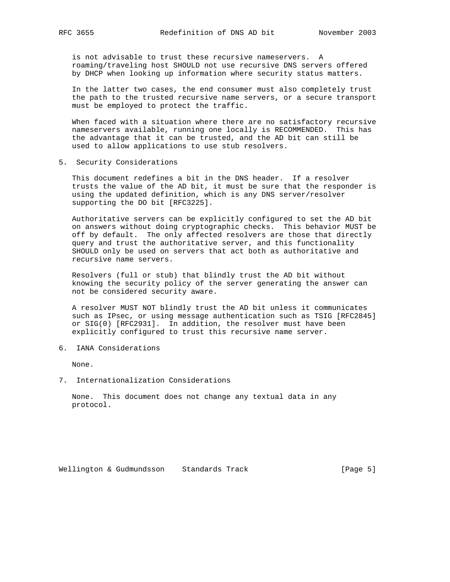is not advisable to trust these recursive nameservers. A roaming/traveling host SHOULD not use recursive DNS servers offered by DHCP when looking up information where security status matters.

 In the latter two cases, the end consumer must also completely trust the path to the trusted recursive name servers, or a secure transport must be employed to protect the traffic.

 When faced with a situation where there are no satisfactory recursive nameservers available, running one locally is RECOMMENDED. This has the advantage that it can be trusted, and the AD bit can still be used to allow applications to use stub resolvers.

5. Security Considerations

 This document redefines a bit in the DNS header. If a resolver trusts the value of the AD bit, it must be sure that the responder is using the updated definition, which is any DNS server/resolver supporting the DO bit [RFC3225].

 Authoritative servers can be explicitly configured to set the AD bit on answers without doing cryptographic checks. This behavior MUST be off by default. The only affected resolvers are those that directly query and trust the authoritative server, and this functionality SHOULD only be used on servers that act both as authoritative and recursive name servers.

 Resolvers (full or stub) that blindly trust the AD bit without knowing the security policy of the server generating the answer can not be considered security aware.

 A resolver MUST NOT blindly trust the AD bit unless it communicates such as IPsec, or using message authentication such as TSIG [RFC2845] or SIG(0) [RFC2931]. In addition, the resolver must have been explicitly configured to trust this recursive name server.

6. IANA Considerations

None.

7. Internationalization Considerations

 None. This document does not change any textual data in any protocol.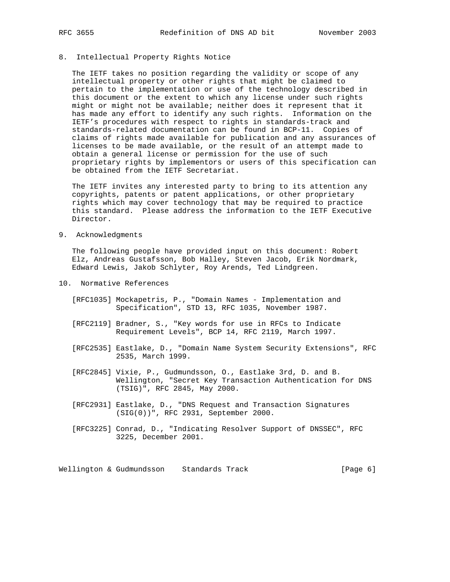# 8. Intellectual Property Rights Notice

 The IETF takes no position regarding the validity or scope of any intellectual property or other rights that might be claimed to pertain to the implementation or use of the technology described in this document or the extent to which any license under such rights might or might not be available; neither does it represent that it has made any effort to identify any such rights. Information on the IETF's procedures with respect to rights in standards-track and standards-related documentation can be found in BCP-11. Copies of claims of rights made available for publication and any assurances of licenses to be made available, or the result of an attempt made to obtain a general license or permission for the use of such proprietary rights by implementors or users of this specification can be obtained from the IETF Secretariat.

 The IETF invites any interested party to bring to its attention any copyrights, patents or patent applications, or other proprietary rights which may cover technology that may be required to practice this standard. Please address the information to the IETF Executive Director.

9. Acknowledgments

 The following people have provided input on this document: Robert Elz, Andreas Gustafsson, Bob Halley, Steven Jacob, Erik Nordmark, Edward Lewis, Jakob Schlyter, Roy Arends, Ted Lindgreen.

- 10. Normative References
	- [RFC1035] Mockapetris, P., "Domain Names Implementation and Specification", STD 13, RFC 1035, November 1987.
	- [RFC2119] Bradner, S., "Key words for use in RFCs to Indicate Requirement Levels", BCP 14, RFC 2119, March 1997.
	- [RFC2535] Eastlake, D., "Domain Name System Security Extensions", RFC 2535, March 1999.
	- [RFC2845] Vixie, P., Gudmundsson, O., Eastlake 3rd, D. and B. Wellington, "Secret Key Transaction Authentication for DNS (TSIG)", RFC 2845, May 2000.
	- [RFC2931] Eastlake, D., "DNS Request and Transaction Signatures (SIG(0))", RFC 2931, September 2000.
	- [RFC3225] Conrad, D., "Indicating Resolver Support of DNSSEC", RFC 3225, December 2001.

Wellington & Gudmundsson Standards Track (Page 6)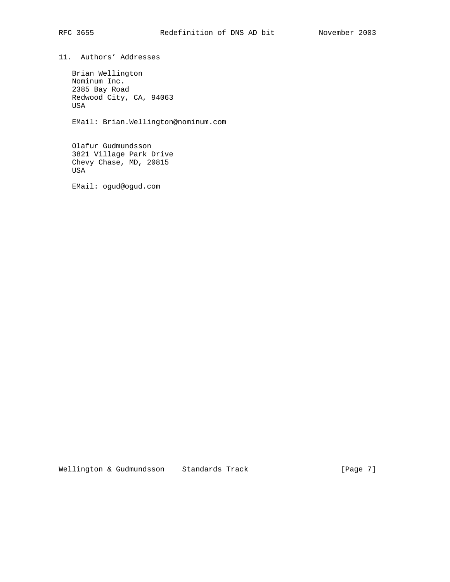11. Authors' Addresses

 Brian Wellington Nominum Inc. 2385 Bay Road Redwood City, CA, 94063 USA

EMail: Brian.Wellington@nominum.com

 Olafur Gudmundsson 3821 Village Park Drive Chevy Chase, MD, 20815 USA

EMail: ogud@ogud.com